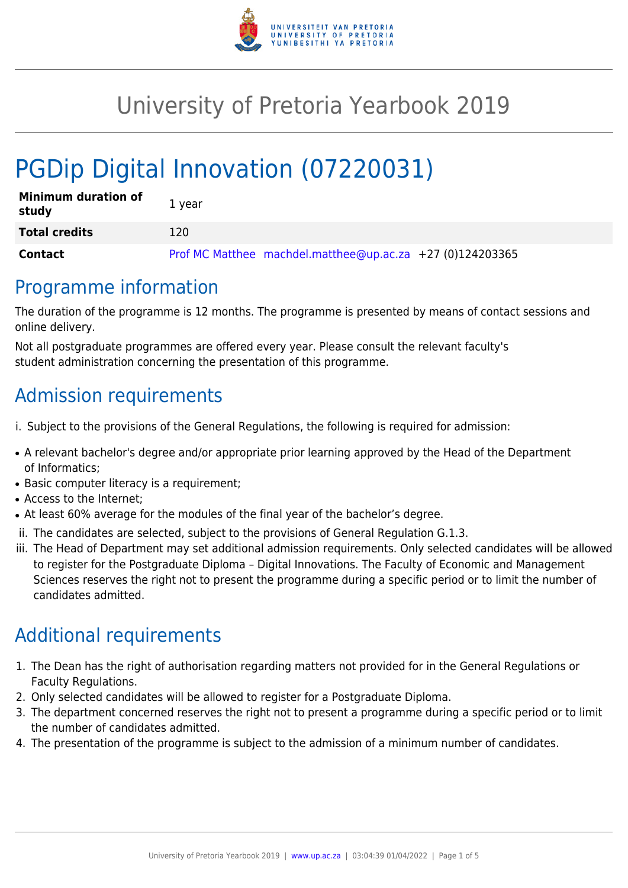

# University of Pretoria Yearbook 2019

# PGDip Digital Innovation (07220031)

| <b>Minimum duration of</b><br>study | 1 year                                                      |
|-------------------------------------|-------------------------------------------------------------|
| <b>Total credits</b>                | 120                                                         |
| Contact                             | Prof MC Matthee machdel.matthee@up.ac.za $+27$ (0)124203365 |

### Programme information

The duration of the programme is 12 months. The programme is presented by means of contact sessions and online delivery.

Not all postgraduate programmes are offered every year. Please consult the relevant faculty's student administration concerning the presentation of this programme.

### Admission requirements

- i. Subject to the provisions of the General Regulations, the following is required for admission:
- A relevant bachelor's degree and/or appropriate prior learning approved by the Head of the Department of Informatics;
- Basic computer literacy is a requirement;
- Access to the Internet;
- At least 60% average for the modules of the final year of the bachelor's degree.
- ii. The candidates are selected, subject to the provisions of General Regulation G.1.3.
- iii. The Head of Department may set additional admission requirements. Only selected candidates will be allowed to register for the Postgraduate Diploma – Digital Innovations. The Faculty of Economic and Management Sciences reserves the right not to present the programme during a specific period or to limit the number of candidates admitted.

## Additional requirements

- 1. The Dean has the right of authorisation regarding matters not provided for in the General Regulations or Faculty Regulations.
- 2. Only selected candidates will be allowed to register for a Postgraduate Diploma.
- 3. The department concerned reserves the right not to present a programme during a specific period or to limit the number of candidates admitted.
- 4. The presentation of the programme is subject to the admission of a minimum number of candidates.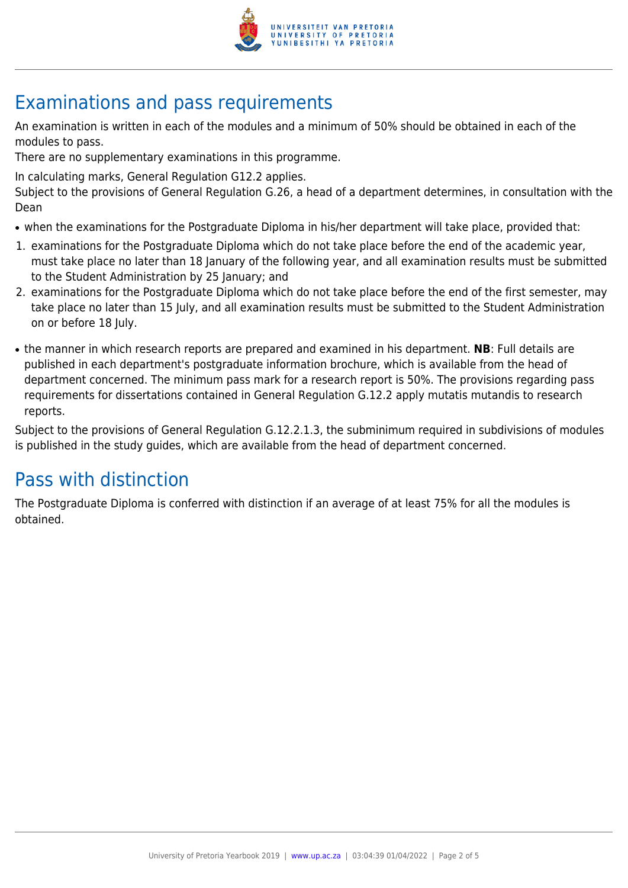

## Examinations and pass requirements

An examination is written in each of the modules and a minimum of 50% should be obtained in each of the modules to pass.

There are no supplementary examinations in this programme.

In calculating marks, General Regulation G12.2 applies.

Subject to the provisions of General Regulation G.26, a head of a department determines, in consultation with the Dean

- when the examinations for the Postgraduate Diploma in his/her department will take place, provided that:
- 1. examinations for the Postgraduate Diploma which do not take place before the end of the academic year, must take place no later than 18 January of the following year, and all examination results must be submitted to the Student Administration by 25 January; and
- 2. examinations for the Postgraduate Diploma which do not take place before the end of the first semester, may take place no later than 15 July, and all examination results must be submitted to the Student Administration on or before 18 July.
- the manner in which research reports are prepared and examined in his department. **NB**: Full details are published in each department's postgraduate information brochure, which is available from the head of department concerned. The minimum pass mark for a research report is 50%. The provisions regarding pass requirements for dissertations contained in General Regulation G.12.2 apply mutatis mutandis to research reports.

Subject to the provisions of General Regulation G.12.2.1.3, the subminimum required in subdivisions of modules is published in the study guides, which are available from the head of department concerned.

## Pass with distinction

The Postgraduate Diploma is conferred with distinction if an average of at least 75% for all the modules is obtained.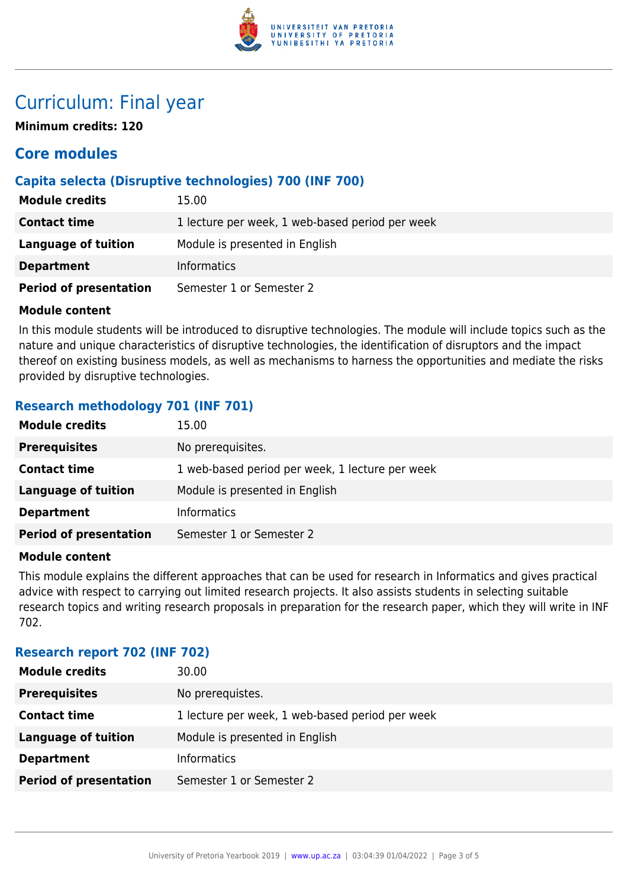

### Curriculum: Final year

**Minimum credits: 120**

### **Core modules**

#### **Capita selecta (Disruptive technologies) 700 (INF 700)**

| <b>Module credits</b>         | 15.00                                           |
|-------------------------------|-------------------------------------------------|
| <b>Contact time</b>           | 1 lecture per week, 1 web-based period per week |
| Language of tuition           | Module is presented in English                  |
| <b>Department</b>             | <b>Informatics</b>                              |
| <b>Period of presentation</b> | Semester 1 or Semester 2                        |

#### **Module content**

In this module students will be introduced to disruptive technologies. The module will include topics such as the nature and unique characteristics of disruptive technologies, the identification of disruptors and the impact thereof on existing business models, as well as mechanisms to harness the opportunities and mediate the risks provided by disruptive technologies.

#### **Research methodology 701 (INF 701)**

| <b>Module credits</b>         | 15.00                                           |
|-------------------------------|-------------------------------------------------|
| <b>Prerequisites</b>          | No prerequisites.                               |
| <b>Contact time</b>           | 1 web-based period per week, 1 lecture per week |
| Language of tuition           | Module is presented in English                  |
| <b>Department</b>             | <b>Informatics</b>                              |
| <b>Period of presentation</b> | Semester 1 or Semester 2                        |

#### **Module content**

This module explains the different approaches that can be used for research in Informatics and gives practical advice with respect to carrying out limited research projects. It also assists students in selecting suitable research topics and writing research proposals in preparation for the research paper, which they will write in INF 702.

#### **Research report 702 (INF 702)**

| <b>Module credits</b>         | 30.00                                           |
|-------------------------------|-------------------------------------------------|
| <b>Prerequisites</b>          | No prerequistes.                                |
| <b>Contact time</b>           | 1 lecture per week, 1 web-based period per week |
| <b>Language of tuition</b>    | Module is presented in English                  |
| <b>Department</b>             | <b>Informatics</b>                              |
| <b>Period of presentation</b> | Semester 1 or Semester 2                        |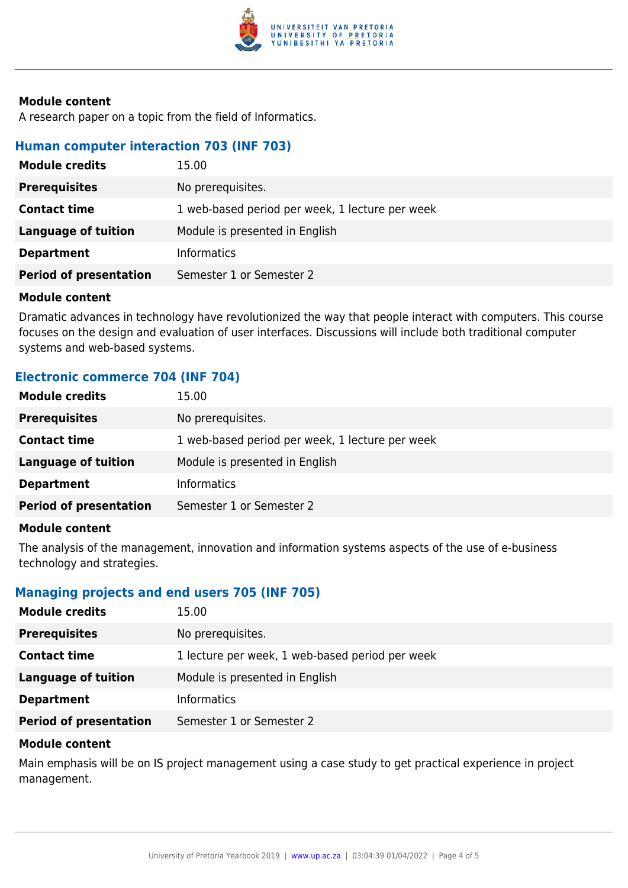

#### **Module content**

A research paper on a topic from the field of Informatics.

#### **Human computer interaction 703 (INF 703)**

| <b>Module credits</b>         | 15.00                                           |
|-------------------------------|-------------------------------------------------|
| <b>Prerequisites</b>          | No prerequisites.                               |
| <b>Contact time</b>           | 1 web-based period per week, 1 lecture per week |
| Language of tuition           | Module is presented in English                  |
| <b>Department</b>             | <b>Informatics</b>                              |
| <b>Period of presentation</b> | Semester 1 or Semester 2                        |

#### **Module content**

Dramatic advances in technology have revolutionized the way that people interact with computers. This course focuses on the design and evaluation of user interfaces. Discussions will include both traditional computer systems and web-based systems.

#### **Electronic commerce 704 (INF 704)**

| <b>Module credits</b>         | 15.00                                           |
|-------------------------------|-------------------------------------------------|
| <b>Prerequisites</b>          | No prerequisites.                               |
| <b>Contact time</b>           | 1 web-based period per week, 1 lecture per week |
| <b>Language of tuition</b>    | Module is presented in English                  |
| <b>Department</b>             | <b>Informatics</b>                              |
| <b>Period of presentation</b> | Semester 1 or Semester 2                        |
|                               |                                                 |

#### **Module content**

The analysis of the management, innovation and information systems aspects of the use of e-business technology and strategies.

#### **Managing projects and end users 705 (INF 705)**

| <b>Module credits</b>         | 15.00                                           |
|-------------------------------|-------------------------------------------------|
| <b>Prerequisites</b>          | No prerequisites.                               |
| <b>Contact time</b>           | 1 lecture per week, 1 web-based period per week |
| <b>Language of tuition</b>    | Module is presented in English                  |
| <b>Department</b>             | <b>Informatics</b>                              |
| <b>Period of presentation</b> | Semester 1 or Semester 2                        |

#### **Module content**

Main emphasis will be on IS project management using a case study to get practical experience in project management.